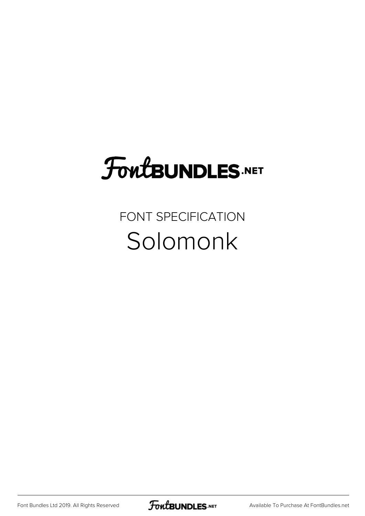## **FoutBUNDLES.NET**

FONT SPECIFICATION Solomonk

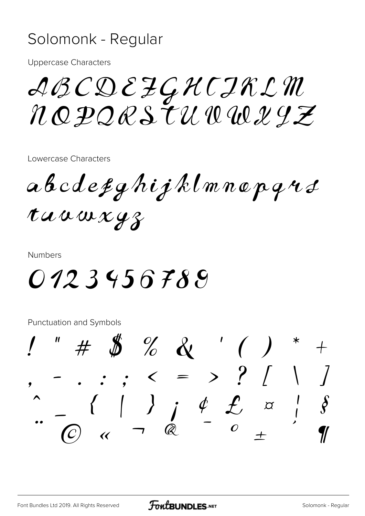## Solomonk - Regular

**Uppercase Characters** 

ABCDEZGHCIRL M NOPORSTUWWYZ

Lowercase Characters

 $abcd$ efghijklmnepqus taawxyz

**Numbers** 

0123456789

**Punctuation and Symbols** 

 $\# \$   $\%$  & '()  $\int$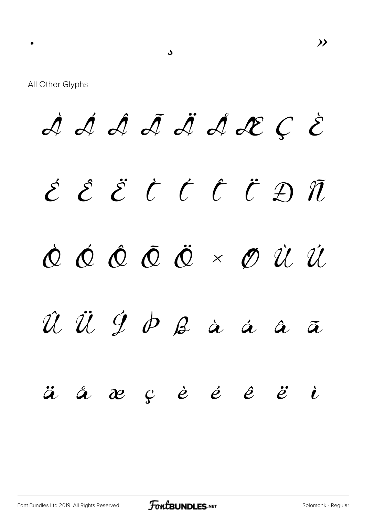$\rightarrow$ 

All Other Glyphs

À Á Â Ã Ä Ä L C È ÉËËČĆČËÐÑ  $\dot{\mathcal{O}}$   $\dot{\mathcal{O}}$   $\dot{\mathcal{O}}$   $\ddot{\mathcal{O}}$   $\times$   $\mathcal{O}$   $\dot{\mathcal{U}}$   $\dot{\mathcal{U}}$  $\hat{u}$   $\ddot{u}$   $\acute{y}$   $\dot{\phi}$   $\beta$  à á á  $\tilde{\boldsymbol{a}}$  $\begin{array}{cccccccccccccc} \mathbf{\alpha} & \mathbf{\beta} & \mathbf{\beta} & \mathbf{\dot{\beta}} & \mathbf{\dot{\beta}} & \mathbf{\dot{\beta}} & \mathbf{\dot{\beta}} & \mathbf{\dot{\beta}} & \mathbf{\dot{\beta}} & \mathbf{\dot{\beta}} & \mathbf{\dot{\beta}} & \mathbf{\dot{\beta}} & \mathbf{\dot{\beta}} & \mathbf{\dot{\beta}} & \mathbf{\dot{\beta}} & \mathbf{\dot{\beta}} & \mathbf{\dot{\beta}} & \mathbf{\dot{\beta}} & \mathbf{\dot{\beta}} & \mathbf{\dot{\beta}} & \mathbf{\dot{\beta}} & \mathbf{\dot{\beta}} & \mathbf{\dot{\beta}} & \mathbf{\dot{\beta}} &$  $\ddot{a}$   $\aa$  $\ddot{e}$  $\dot{\mathbf{l}}$ 

ک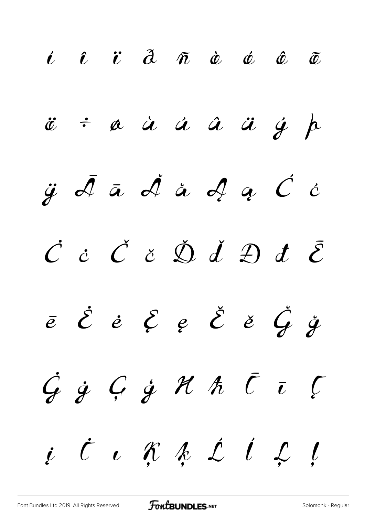*í î ï ð ñ ò ó ô õ ö ÷ ø ù ú û ü ý þ ÿ Ā ā Ă ă Ą ą Ć ć Ċ ċ Č č Ď ď Đ đ Ē ē Ė ė Ę ę Ě ě Ğ ğ Ġ ġ Ģ ģ Ħ ħ Ī ī Į į İ ı Ķ ķ Ĺ ĺ Ļ ļ*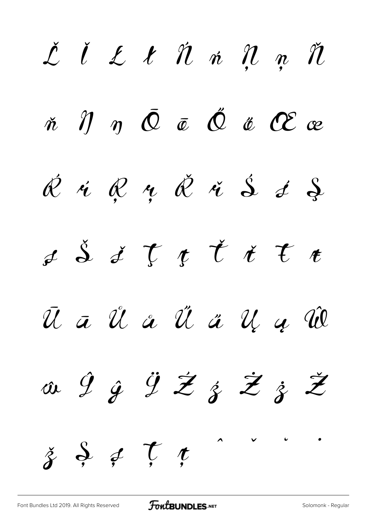*Ľ ľ Ł ł Ń ń Ņ ņ Ň ň Ŋ ŋ Ō ō Ő ő Œ œ Ŕ ŕ Ŗ ŗ Ř ř Ś ś Ş ş Š š Ţ ţ Ť ť Ŧ ŧ Ū ū Ů ů Ű ű Ų ų Ŵ ŵ Ŷ ŷ Ÿ Ź ź Ż ż Ž ž Ș ș Ț ț*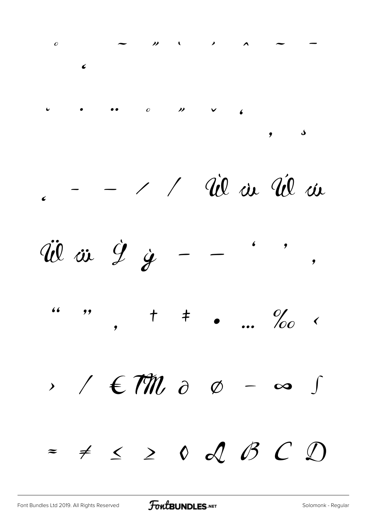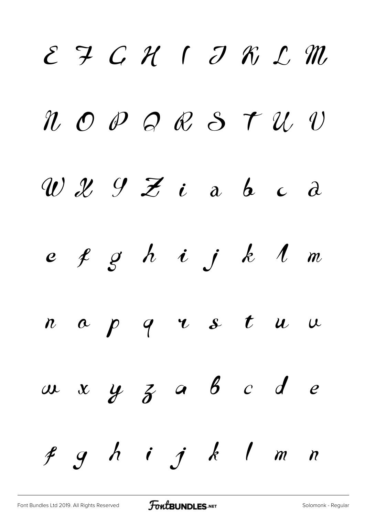